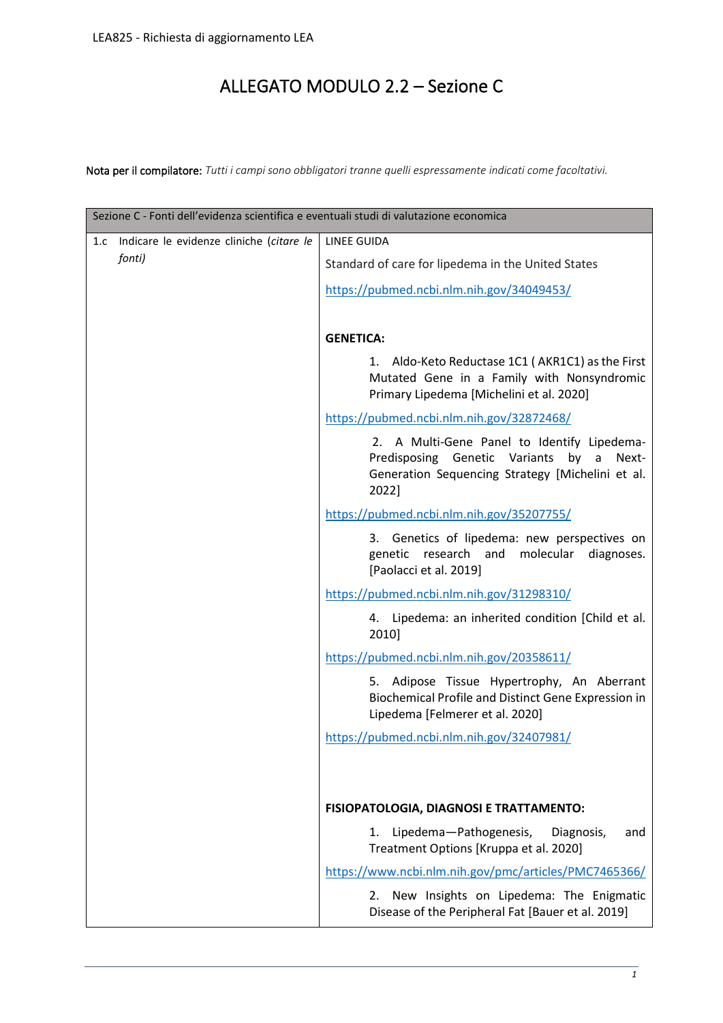## ALLEGATO MODULO 2.2 – Sezione C

Nota per il compilatore: *Tutti i campi sono obbligatori tranne quelli espressamente indicati come facoltativi.*

| Sezione C - Fonti dell'evidenza scientifica e eventuali studi di valutazione economica |                                                                                                                                                            |  |  |
|----------------------------------------------------------------------------------------|------------------------------------------------------------------------------------------------------------------------------------------------------------|--|--|
| Indicare le evidenze cliniche (citare le<br>1.c                                        | <b>LINEE GUIDA</b>                                                                                                                                         |  |  |
| fonti)                                                                                 | Standard of care for lipedema in the United States                                                                                                         |  |  |
|                                                                                        | https://pubmed.ncbi.nlm.nih.gov/34049453/                                                                                                                  |  |  |
|                                                                                        |                                                                                                                                                            |  |  |
|                                                                                        | <b>GENETICA:</b>                                                                                                                                           |  |  |
|                                                                                        | 1. Aldo-Keto Reductase 1C1 (AKR1C1) as the First<br>Mutated Gene in a Family with Nonsyndromic<br>Primary Lipedema [Michelini et al. 2020]                 |  |  |
|                                                                                        | https://pubmed.ncbi.nlm.nih.gov/32872468/                                                                                                                  |  |  |
|                                                                                        | 2. A Multi-Gene Panel to Identify Lipedema-<br>Predisposing Genetic Variants<br>by a<br>Next-<br>Generation Sequencing Strategy [Michelini et al.<br>2022] |  |  |
|                                                                                        | https://pubmed.ncbi.nlm.nih.gov/35207755/                                                                                                                  |  |  |
|                                                                                        | 3. Genetics of lipedema: new perspectives on<br>genetic research and molecular<br>diagnoses.<br>[Paolacci et al. 2019]                                     |  |  |
|                                                                                        | https://pubmed.ncbi.nlm.nih.gov/31298310/                                                                                                                  |  |  |
|                                                                                        | 4. Lipedema: an inherited condition [Child et al.<br>2010]                                                                                                 |  |  |
|                                                                                        | https://pubmed.ncbi.nlm.nih.gov/20358611/                                                                                                                  |  |  |
|                                                                                        | 5. Adipose Tissue Hypertrophy, An Aberrant<br>Biochemical Profile and Distinct Gene Expression in<br>Lipedema [Felmerer et al. 2020]                       |  |  |
|                                                                                        | https://pubmed.ncbi.nlm.nih.gov/32407981/                                                                                                                  |  |  |
|                                                                                        |                                                                                                                                                            |  |  |
|                                                                                        | <b>FISIOPATOLOGIA, DIAGNOSI E TRATTAMENTO:</b>                                                                                                             |  |  |
|                                                                                        | Lipedema-Pathogenesis,<br>Diagnosis,<br>1.<br>and<br>Treatment Options [Kruppa et al. 2020]                                                                |  |  |
|                                                                                        | https://www.ncbi.nlm.nih.gov/pmc/articles/PMC7465366/                                                                                                      |  |  |
|                                                                                        | New Insights on Lipedema: The Enigmatic<br>2.<br>Disease of the Peripheral Fat [Bauer et al. 2019]                                                         |  |  |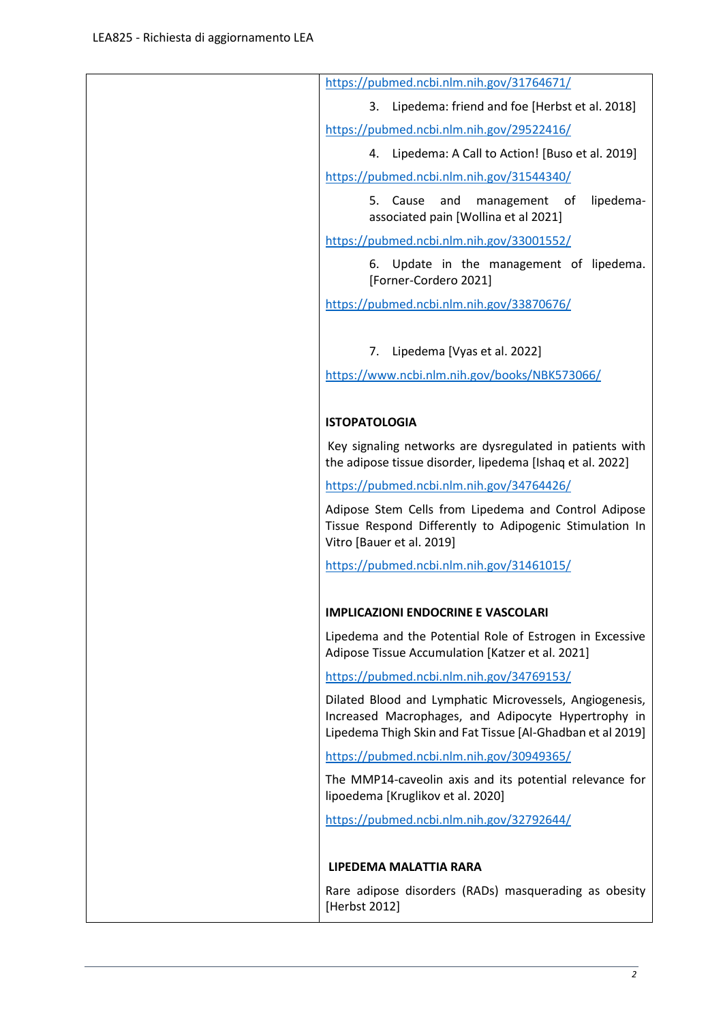| https://pubmed.ncbi.nlm.nih.gov/31764671/                                                                                                                                    |
|------------------------------------------------------------------------------------------------------------------------------------------------------------------------------|
| Lipedema: friend and foe [Herbst et al. 2018]<br>3.                                                                                                                          |
| https://pubmed.ncbi.nlm.nih.gov/29522416/                                                                                                                                    |
| Lipedema: A Call to Action! [Buso et al. 2019]<br>4.                                                                                                                         |
| https://pubmed.ncbi.nlm.nih.gov/31544340/                                                                                                                                    |
| lipedema-<br>5.<br>Cause<br>and<br>management of<br>associated pain [Wollina et al 2021]                                                                                     |
| https://pubmed.ncbi.nlm.nih.gov/33001552/                                                                                                                                    |
| Update in the management of lipedema.<br>6.<br>[Forner-Cordero 2021]                                                                                                         |
| https://pubmed.ncbi.nlm.nih.gov/33870676/                                                                                                                                    |
|                                                                                                                                                                              |
| Lipedema [Vyas et al. 2022]<br>7.                                                                                                                                            |
| https://www.ncbi.nlm.nih.gov/books/NBK573066/                                                                                                                                |
|                                                                                                                                                                              |
| <b>ISTOPATOLOGIA</b>                                                                                                                                                         |
| Key signaling networks are dysregulated in patients with<br>the adipose tissue disorder, lipedema [Ishaq et al. 2022]                                                        |
| https://pubmed.ncbi.nlm.nih.gov/34764426/                                                                                                                                    |
| Adipose Stem Cells from Lipedema and Control Adipose<br>Tissue Respond Differently to Adipogenic Stimulation In<br>Vitro [Bauer et al. 2019]                                 |
| https://pubmed.ncbi.nlm.nih.gov/31461015/                                                                                                                                    |
|                                                                                                                                                                              |
| IMPLICAZIONI ENDOCRINE E VASCOLARI                                                                                                                                           |
| Lipedema and the Potential Role of Estrogen in Excessive<br>Adipose Tissue Accumulation [Katzer et al. 2021]                                                                 |
| https://pubmed.ncbi.nlm.nih.gov/34769153/                                                                                                                                    |
| Dilated Blood and Lymphatic Microvessels, Angiogenesis,<br>Increased Macrophages, and Adipocyte Hypertrophy in<br>Lipedema Thigh Skin and Fat Tissue [Al-Ghadban et al 2019] |
| https://pubmed.ncbi.nlm.nih.gov/30949365/                                                                                                                                    |
| The MMP14-caveolin axis and its potential relevance for<br>lipoedema [Kruglikov et al. 2020]                                                                                 |
| https://pubmed.ncbi.nlm.nih.gov/32792644/                                                                                                                                    |
|                                                                                                                                                                              |
| LIPEDEMA MALATTIA RARA                                                                                                                                                       |
| Rare adipose disorders (RADs) masquerading as obesity<br>[Herbst 2012]                                                                                                       |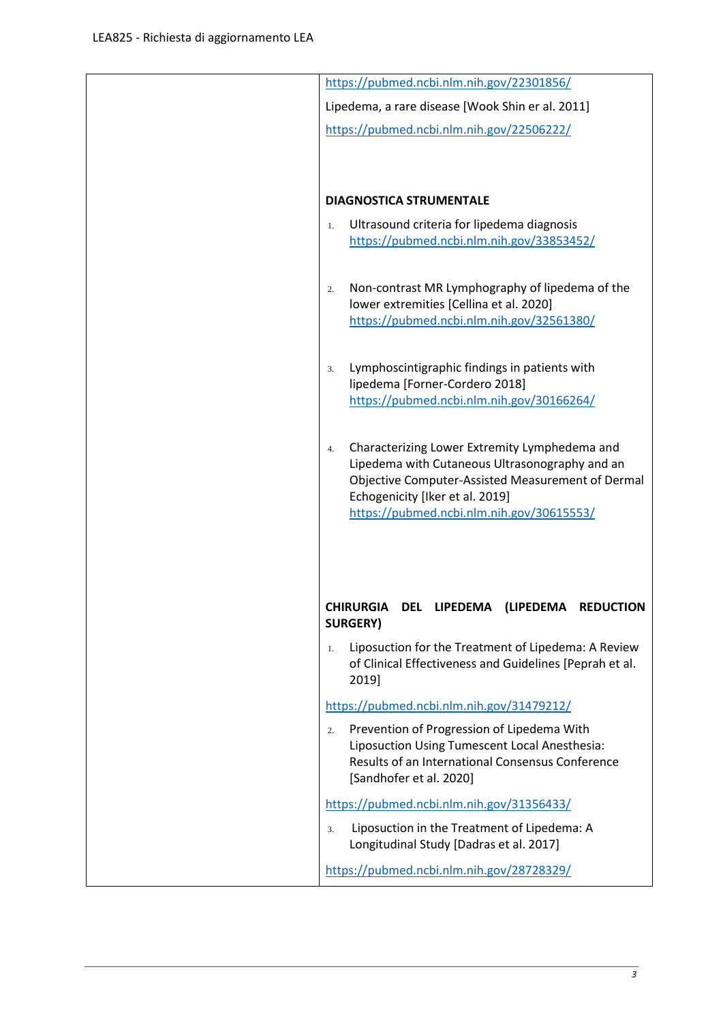|    | https://pubmed.ncbi.nlm.nih.gov/22301856/                                                                                                                                                                                            |
|----|--------------------------------------------------------------------------------------------------------------------------------------------------------------------------------------------------------------------------------------|
|    | Lipedema, a rare disease [Wook Shin er al. 2011]                                                                                                                                                                                     |
|    | https://pubmed.ncbi.nlm.nih.gov/22506222/                                                                                                                                                                                            |
|    | <b>DIAGNOSTICA STRUMENTALE</b>                                                                                                                                                                                                       |
| 1. | Ultrasound criteria for lipedema diagnosis<br>https://pubmed.ncbi.nlm.nih.gov/33853452/                                                                                                                                              |
| 2. | Non-contrast MR Lymphography of lipedema of the<br>lower extremities [Cellina et al. 2020]<br>https://pubmed.ncbi.nlm.nih.gov/32561380/                                                                                              |
| 3. | Lymphoscintigraphic findings in patients with<br>lipedema [Forner-Cordero 2018]<br>https://pubmed.ncbi.nlm.nih.gov/30166264/                                                                                                         |
| 4. | Characterizing Lower Extremity Lymphedema and<br>Lipedema with Cutaneous Ultrasonography and an<br>Objective Computer-Assisted Measurement of Dermal<br>Echogenicity [Iker et al. 2019]<br>https://pubmed.ncbi.nlm.nih.gov/30615553/ |
| 1. | <b>CHIRURGIA</b><br><b>DEL</b><br>LIPEDEMA<br>(LIPEDEMA<br><b>REDUCTION</b><br><b>SURGERY)</b><br>Liposuction for the Treatment of Lipedema: A Review<br>of Clinical Effectiveness and Guidelines [Peprah et al.                     |
|    | 2019]                                                                                                                                                                                                                                |
|    | https://pubmed.ncbi.nlm.nih.gov/31479212/                                                                                                                                                                                            |
| 2. | Prevention of Progression of Lipedema With<br>Liposuction Using Tumescent Local Anesthesia:<br>Results of an International Consensus Conference<br>[Sandhofer et al. 2020]                                                           |
|    | https://pubmed.ncbi.nlm.nih.gov/31356433/                                                                                                                                                                                            |
| 3. | Liposuction in the Treatment of Lipedema: A                                                                                                                                                                                          |
|    | Longitudinal Study [Dadras et al. 2017]                                                                                                                                                                                              |
|    | https://pubmed.ncbi.nlm.nih.gov/28728329/                                                                                                                                                                                            |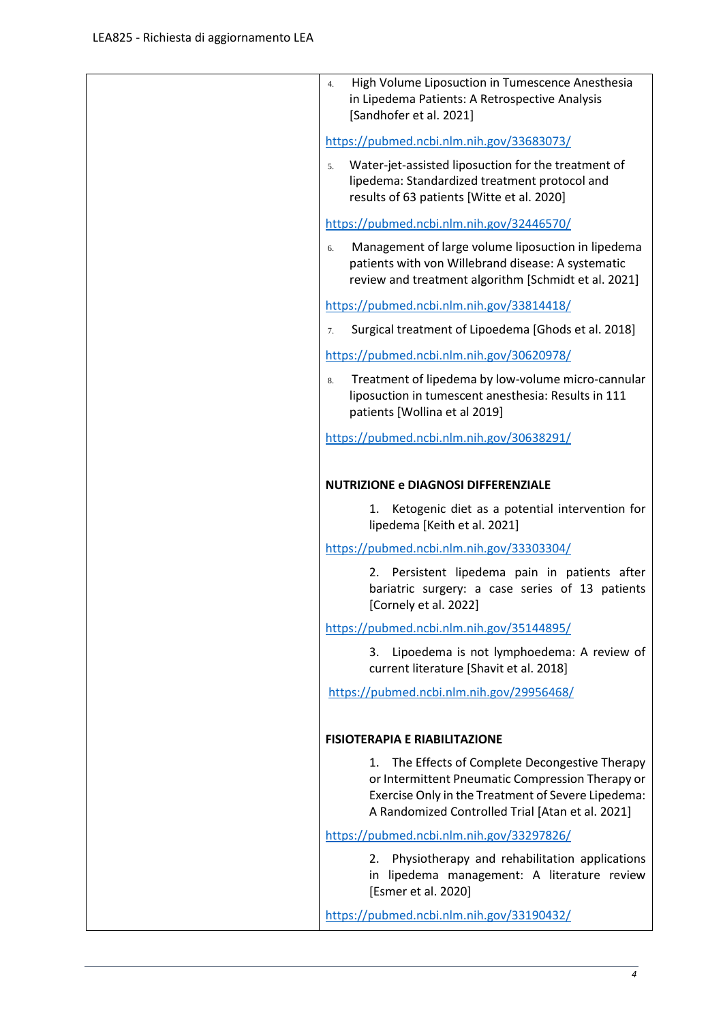| High Volume Liposuction in Tumescence Anesthesia<br>4.<br>in Lipedema Patients: A Retrospective Analysis<br>[Sandhofer et al. 2021]                                                                              |
|------------------------------------------------------------------------------------------------------------------------------------------------------------------------------------------------------------------|
| https://pubmed.ncbi.nlm.nih.gov/33683073/                                                                                                                                                                        |
| Water-jet-assisted liposuction for the treatment of<br>5.<br>lipedema: Standardized treatment protocol and<br>results of 63 patients [Witte et al. 2020]                                                         |
| https://pubmed.ncbi.nlm.nih.gov/32446570/                                                                                                                                                                        |
| Management of large volume liposuction in lipedema<br>6.<br>patients with von Willebrand disease: A systematic<br>review and treatment algorithm [Schmidt et al. 2021]                                           |
| https://pubmed.ncbi.nlm.nih.gov/33814418/                                                                                                                                                                        |
| Surgical treatment of Lipoedema [Ghods et al. 2018]<br>7.                                                                                                                                                        |
| https://pubmed.ncbi.nlm.nih.gov/30620978/                                                                                                                                                                        |
| Treatment of lipedema by low-volume micro-cannular<br>8.<br>liposuction in tumescent anesthesia: Results in 111<br>patients [Wollina et al 2019]                                                                 |
| https://pubmed.ncbi.nlm.nih.gov/30638291/                                                                                                                                                                        |
| <b>NUTRIZIONE e DIAGNOSI DIFFERENZIALE</b>                                                                                                                                                                       |
| Ketogenic diet as a potential intervention for<br>1.<br>lipedema [Keith et al. 2021]                                                                                                                             |
| https://pubmed.ncbi.nlm.nih.gov/33303304/                                                                                                                                                                        |
| 2. Persistent lipedema pain in patients after<br>bariatric surgery: a case series of 13 patients<br>[Cornely et al. 2022]                                                                                        |
| https://pubmed.ncbi.nlm.nih.gov/35144895/                                                                                                                                                                        |
| Lipoedema is not lymphoedema: A review of<br>3.<br>current literature [Shavit et al. 2018]                                                                                                                       |
| https://pubmed.ncbi.nlm.nih.gov/29956468/                                                                                                                                                                        |
|                                                                                                                                                                                                                  |
| <b>FISIOTERAPIA E RIABILITAZIONE</b>                                                                                                                                                                             |
| The Effects of Complete Decongestive Therapy<br>1.<br>or Intermittent Pneumatic Compression Therapy or<br>Exercise Only in the Treatment of Severe Lipedema:<br>A Randomized Controlled Trial [Atan et al. 2021] |
| https://pubmed.ncbi.nlm.nih.gov/33297826/                                                                                                                                                                        |
| Physiotherapy and rehabilitation applications<br>2.<br>in lipedema management: A literature review<br>[Esmer et al. 2020]                                                                                        |
| https://pubmed.ncbi.nlm.nih.gov/33190432/                                                                                                                                                                        |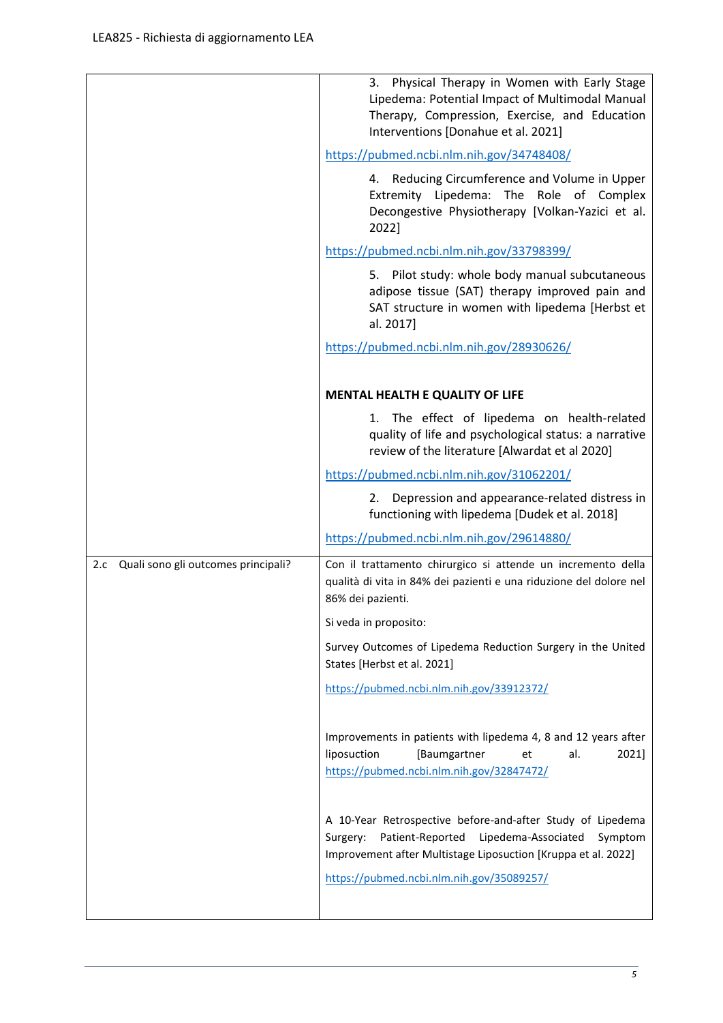|                                         | Physical Therapy in Women with Early Stage<br>3.<br>Lipedema: Potential Impact of Multimodal Manual<br>Therapy, Compression, Exercise, and Education<br>Interventions [Donahue et al. 2021]   |
|-----------------------------------------|-----------------------------------------------------------------------------------------------------------------------------------------------------------------------------------------------|
|                                         | https://pubmed.ncbi.nlm.nih.gov/34748408/                                                                                                                                                     |
|                                         | 4. Reducing Circumference and Volume in Upper<br>Extremity Lipedema: The Role of Complex<br>Decongestive Physiotherapy [Volkan-Yazici et al.<br>2022]                                         |
|                                         | https://pubmed.ncbi.nlm.nih.gov/33798399/                                                                                                                                                     |
|                                         | 5. Pilot study: whole body manual subcutaneous<br>adipose tissue (SAT) therapy improved pain and<br>SAT structure in women with lipedema [Herbst et<br>al. 2017]                              |
|                                         | https://pubmed.ncbi.nlm.nih.gov/28930626/                                                                                                                                                     |
|                                         |                                                                                                                                                                                               |
|                                         | <b>MENTAL HEALTH E QUALITY OF LIFE</b>                                                                                                                                                        |
|                                         | 1. The effect of lipedema on health-related<br>quality of life and psychological status: a narrative<br>review of the literature [Alwardat et al 2020]                                        |
|                                         | https://pubmed.ncbi.nlm.nih.gov/31062201/                                                                                                                                                     |
|                                         | 2. Depression and appearance-related distress in<br>functioning with lipedema [Dudek et al. 2018]                                                                                             |
|                                         | https://pubmed.ncbi.nlm.nih.gov/29614880/                                                                                                                                                     |
| 2.c Quali sono gli outcomes principali? | Con il trattamento chirurgico si attende un incremento della<br>qualità di vita in 84% dei pazienti e una riduzione del dolore nel<br>86% dei pazienti.                                       |
|                                         | Si veda in proposito:                                                                                                                                                                         |
|                                         | Survey Outcomes of Lipedema Reduction Surgery in the United<br>States [Herbst et al. 2021]                                                                                                    |
|                                         | https://pubmed.ncbi.nlm.nih.gov/33912372/                                                                                                                                                     |
|                                         | Improvements in patients with lipedema 4, 8 and 12 years after<br>liposuction<br>[Baumgartner<br>2021]<br>et<br>al.<br>https://pubmed.ncbi.nlm.nih.gov/32847472/                              |
|                                         | A 10-Year Retrospective before-and-after Study of Lipedema<br>Lipedema-Associated<br>Patient-Reported<br>Surgery:<br>Symptom<br>Improvement after Multistage Liposuction [Kruppa et al. 2022] |
|                                         | https://pubmed.ncbi.nlm.nih.gov/35089257/                                                                                                                                                     |
|                                         |                                                                                                                                                                                               |